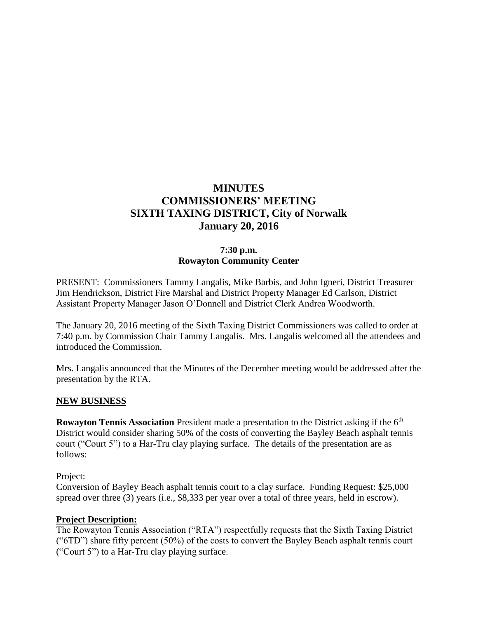# **MINUTES COMMISSIONERS' MEETING SIXTH TAXING DISTRICT, City of Norwalk January 20, 2016**

#### **7:30 p.m. Rowayton Community Center**

PRESENT: Commissioners Tammy Langalis, Mike Barbis, and John Igneri, District Treasurer Jim Hendrickson, District Fire Marshal and District Property Manager Ed Carlson, District Assistant Property Manager Jason O'Donnell and District Clerk Andrea Woodworth.

The January 20, 2016 meeting of the Sixth Taxing District Commissioners was called to order at 7:40 p.m. by Commission Chair Tammy Langalis. Mrs. Langalis welcomed all the attendees and introduced the Commission.

Mrs. Langalis announced that the Minutes of the December meeting would be addressed after the presentation by the RTA.

#### **NEW BUSINESS**

**Rowayton Tennis Association** President made a presentation to the District asking if the 6<sup>th</sup> District would consider sharing 50% of the costs of converting the Bayley Beach asphalt tennis court ("Court 5") to a Har-Tru clay playing surface. The details of the presentation are as follows:

Project:

Conversion of Bayley Beach asphalt tennis court to a clay surface. Funding Request: \$25,000 spread over three (3) years (i.e., \$8,333 per year over a total of three years, held in escrow).

#### **Project Description:**

The Rowayton Tennis Association ("RTA") respectfully requests that the Sixth Taxing District ("6TD") share fifty percent (50%) of the costs to convert the Bayley Beach asphalt tennis court ("Court 5") to a Har-Tru clay playing surface.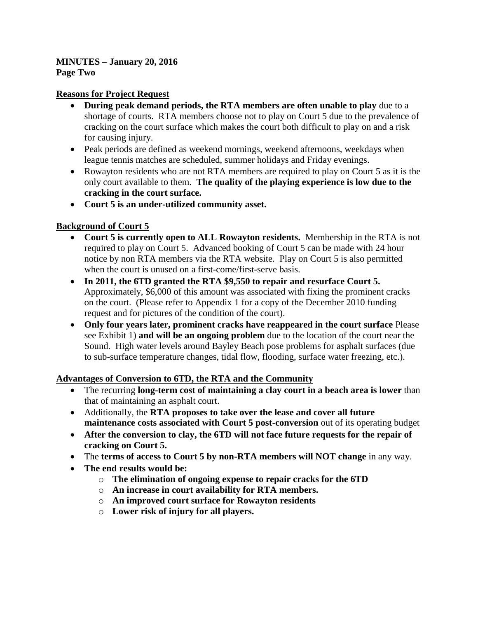#### **Reasons for Project Request**

- **During peak demand periods, the RTA members are often unable to play** due to a shortage of courts. RTA members choose not to play on Court 5 due to the prevalence of cracking on the court surface which makes the court both difficult to play on and a risk for causing injury.
- Peak periods are defined as weekend mornings, weekend afternoons, weekdays when league tennis matches are scheduled, summer holidays and Friday evenings.
- Rowayton residents who are not RTA members are required to play on Court 5 as it is the only court available to them. **The quality of the playing experience is low due to the cracking in the court surface.**
- **Court 5 is an under-utilized community asset.**

# **Background of Court 5**

- **Court 5 is currently open to ALL Rowayton residents.** Membership in the RTA is not required to play on Court 5. Advanced booking of Court 5 can be made with 24 hour notice by non RTA members via the RTA website. Play on Court 5 is also permitted when the court is unused on a first-come/first-serve basis.
- **In 2011, the 6TD granted the RTA \$9,550 to repair and resurface Court 5.** Approximately, \$6,000 of this amount was associated with fixing the prominent cracks on the court. (Please refer to Appendix 1 for a copy of the December 2010 funding request and for pictures of the condition of the court).
- **Only four years later, prominent cracks have reappeared in the court surface** Please see Exhibit 1) **and will be an ongoing problem** due to the location of the court near the Sound. High water levels around Bayley Beach pose problems for asphalt surfaces (due to sub-surface temperature changes, tidal flow, flooding, surface water freezing, etc.).

# **Advantages of Conversion to 6TD, the RTA and the Community**

- The recurring **long-term cost of maintaining a clay court in a beach area is lower** than that of maintaining an asphalt court.
- Additionally, the **RTA proposes to take over the lease and cover all future maintenance costs associated with Court 5 post-conversion** out of its operating budget
- **After the conversion to clay, the 6TD will not face future requests for the repair of cracking on Court 5.**
- The **terms of access to Court 5 by non-RTA members will NOT change** in any way.
- **The end results would be:**
	- o **The elimination of ongoing expense to repair cracks for the 6TD**
	- o **An increase in court availability for RTA members.**
	- o **An improved court surface for Rowayton residents**
	- o **Lower risk of injury for all players.**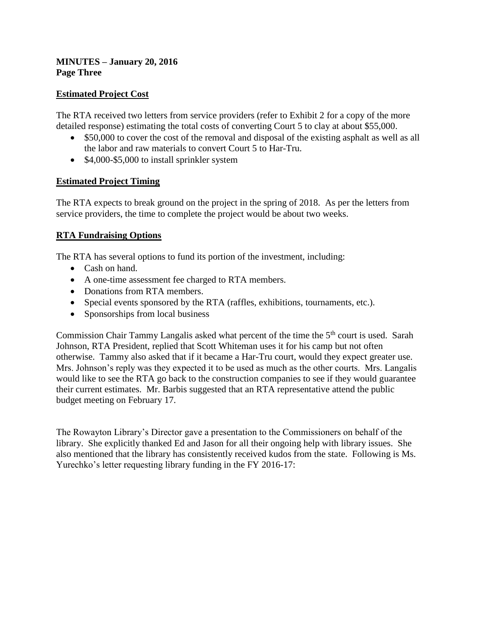#### **MINUTES – January 20, 2016 Page Three**

# **Estimated Project Cost**

The RTA received two letters from service providers (refer to Exhibit 2 for a copy of the more detailed response) estimating the total costs of converting Court 5 to clay at about \$55,000.

- \$50,000 to cover the cost of the removal and disposal of the existing asphalt as well as all the labor and raw materials to convert Court 5 to Har-Tru.
- \$4,000-\$5,000 to install sprinkler system

# **Estimated Project Timing**

The RTA expects to break ground on the project in the spring of 2018. As per the letters from service providers, the time to complete the project would be about two weeks.

# **RTA Fundraising Options**

The RTA has several options to fund its portion of the investment, including:

- Cash on hand.
- A one-time assessment fee charged to RTA members.
- Donations from RTA members.
- Special events sponsored by the RTA (raffles, exhibitions, tournaments, etc.).
- Sponsorships from local business

Commission Chair Tammy Langalis asked what percent of the time the 5<sup>th</sup> court is used. Sarah Johnson, RTA President, replied that Scott Whiteman uses it for his camp but not often otherwise. Tammy also asked that if it became a Har-Tru court, would they expect greater use. Mrs. Johnson's reply was they expected it to be used as much as the other courts. Mrs. Langalis would like to see the RTA go back to the construction companies to see if they would guarantee their current estimates. Mr. Barbis suggested that an RTA representative attend the public budget meeting on February 17.

The Rowayton Library's Director gave a presentation to the Commissioners on behalf of the library. She explicitly thanked Ed and Jason for all their ongoing help with library issues. She also mentioned that the library has consistently received kudos from the state. Following is Ms. Yurechko's letter requesting library funding in the FY 2016-17: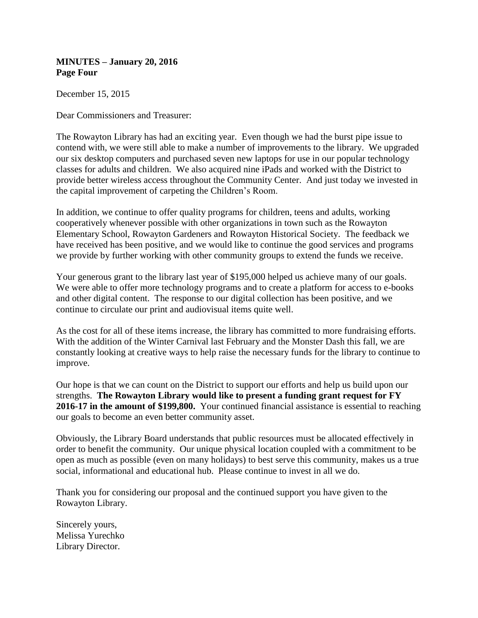**MINUTES – January 20, 2016 Page Four**

December 15, 2015

Dear Commissioners and Treasurer:

The Rowayton Library has had an exciting year. Even though we had the burst pipe issue to contend with, we were still able to make a number of improvements to the library. We upgraded our six desktop computers and purchased seven new laptops for use in our popular technology classes for adults and children. We also acquired nine iPads and worked with the District to provide better wireless access throughout the Community Center. And just today we invested in the capital improvement of carpeting the Children's Room.

In addition, we continue to offer quality programs for children, teens and adults, working cooperatively whenever possible with other organizations in town such as the Rowayton Elementary School, Rowayton Gardeners and Rowayton Historical Society. The feedback we have received has been positive, and we would like to continue the good services and programs we provide by further working with other community groups to extend the funds we receive.

Your generous grant to the library last year of \$195,000 helped us achieve many of our goals. We were able to offer more technology programs and to create a platform for access to e-books and other digital content. The response to our digital collection has been positive, and we continue to circulate our print and audiovisual items quite well.

As the cost for all of these items increase, the library has committed to more fundraising efforts. With the addition of the Winter Carnival last February and the Monster Dash this fall, we are constantly looking at creative ways to help raise the necessary funds for the library to continue to improve.

Our hope is that we can count on the District to support our efforts and help us build upon our strengths. **The Rowayton Library would like to present a funding grant request for FY 2016-17 in the amount of \$199,800.** Your continued financial assistance is essential to reaching our goals to become an even better community asset.

Obviously, the Library Board understands that public resources must be allocated effectively in order to benefit the community. Our unique physical location coupled with a commitment to be open as much as possible (even on many holidays) to best serve this community, makes us a true social, informational and educational hub. Please continue to invest in all we do.

Thank you for considering our proposal and the continued support you have given to the Rowayton Library.

Sincerely yours, Melissa Yurechko Library Director.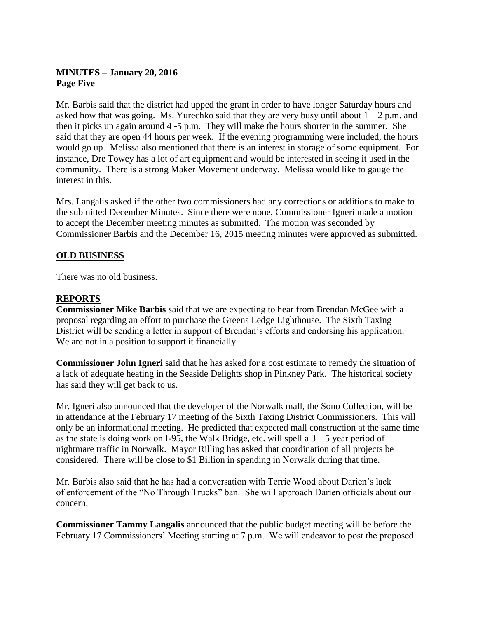# **MINUTES – January 20, 2016 Page Five**

Mr. Barbis said that the district had upped the grant in order to have longer Saturday hours and asked how that was going. Ms. Yurechko said that they are very busy until about  $1 - 2$  p.m. and then it picks up again around 4 -5 p.m. They will make the hours shorter in the summer. She said that they are open 44 hours per week. If the evening programming were included, the hours would go up. Melissa also mentioned that there is an interest in storage of some equipment. For instance, Dre Towey has a lot of art equipment and would be interested in seeing it used in the community. There is a strong Maker Movement underway. Melissa would like to gauge the interest in this.

Mrs. Langalis asked if the other two commissioners had any corrections or additions to make to the submitted December Minutes. Since there were none, Commissioner Igneri made a motion to accept the December meeting minutes as submitted. The motion was seconded by Commissioner Barbis and the December 16, 2015 meeting minutes were approved as submitted.

#### **OLD BUSINESS**

There was no old business.

#### **REPORTS**

**Commissioner Mike Barbis** said that we are expecting to hear from Brendan McGee with a proposal regarding an effort to purchase the Greens Ledge Lighthouse. The Sixth Taxing District will be sending a letter in support of Brendan's efforts and endorsing his application. We are not in a position to support it financially.

**Commissioner John Igneri** said that he has asked for a cost estimate to remedy the situation of a lack of adequate heating in the Seaside Delights shop in Pinkney Park. The historical society has said they will get back to us.

Mr. Igneri also announced that the developer of the Norwalk mall, the Sono Collection, will be in attendance at the February 17 meeting of the Sixth Taxing District Commissioners. This will only be an informational meeting. He predicted that expected mall construction at the same time as the state is doing work on I-95, the Walk Bridge, etc. will spell a  $3 - 5$  year period of nightmare traffic in Norwalk. Mayor Rilling has asked that coordination of all projects be considered. There will be close to \$1 Billion in spending in Norwalk during that time.

Mr. Barbis also said that he has had a conversation with Terrie Wood about Darien's lack of enforcement of the "No Through Trucks" ban. She will approach Darien officials about our concern.

**Commissioner Tammy Langalis** announced that the public budget meeting will be before the February 17 Commissioners' Meeting starting at 7 p.m. We will endeavor to post the proposed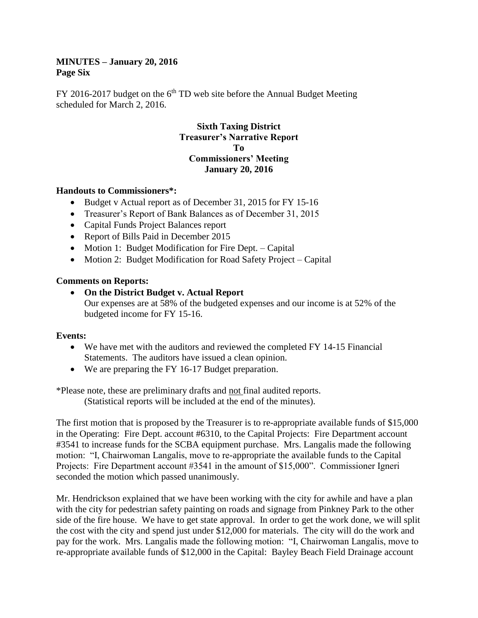#### **MINUTES – January 20, 2016 Page Six**

FY 2016-2017 budget on the  $6<sup>th</sup>$  TD web site before the Annual Budget Meeting scheduled for March 2, 2016.

## **Sixth Taxing District Treasurer's Narrative Report To Commissioners' Meeting January 20, 2016**

#### **Handouts to Commissioners\*:**

- Budget v Actual report as of December 31, 2015 for FY 15-16
- Treasurer's Report of Bank Balances as of December 31, 2015
- Capital Funds Project Balances report
- Report of Bills Paid in December 2015
- Motion 1: Budget Modification for Fire Dept. Capital
- Motion 2: Budget Modification for Road Safety Project Capital

# **Comments on Reports:**

 **On the District Budget v. Actual Report** Our expenses are at 58% of the budgeted expenses and our income is at 52% of the budgeted income for FY 15-16.

# **Events:**

- We have met with the auditors and reviewed the completed FY 14-15 Financial Statements. The auditors have issued a clean opinion.
- We are preparing the FY 16-17 Budget preparation.

\*Please note, these are preliminary drafts and not final audited reports.

(Statistical reports will be included at the end of the minutes).

The first motion that is proposed by the Treasurer is to re-appropriate available funds of \$15,000 in the Operating: Fire Dept. account #6310, to the Capital Projects: Fire Department account #3541 to increase funds for the SCBA equipment purchase. Mrs. Langalis made the following motion: "I, Chairwoman Langalis, move to re-appropriate the available funds to the Capital Projects: Fire Department account #3541 in the amount of \$15,000". Commissioner Igneri seconded the motion which passed unanimously.

Mr. Hendrickson explained that we have been working with the city for awhile and have a plan with the city for pedestrian safety painting on roads and signage from Pinkney Park to the other side of the fire house. We have to get state approval. In order to get the work done, we will split the cost with the city and spend just under \$12,000 for materials. The city will do the work and pay for the work. Mrs. Langalis made the following motion: "I, Chairwoman Langalis, move to re-appropriate available funds of \$12,000 in the Capital: Bayley Beach Field Drainage account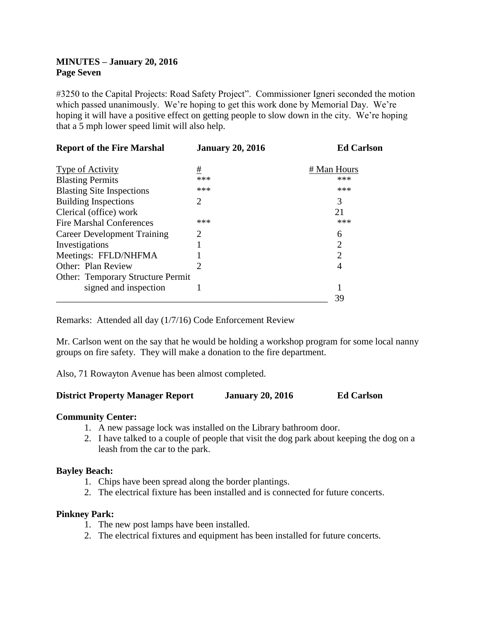#### **MINUTES – January 20, 2016 Page Seven**

#3250 to the Capital Projects: Road Safety Project". Commissioner Igneri seconded the motion which passed unanimously. We're hoping to get this work done by Memorial Day. We're hoping it will have a positive effect on getting people to slow down in the city. We're hoping that a 5 mph lower speed limit will also help.

| <b>Report of the Fire Marshal</b>        | <b>January 20, 2016</b> | <b>Ed Carlson</b>           |
|------------------------------------------|-------------------------|-----------------------------|
| <b>Type of Activity</b>                  | #                       | # Man Hours                 |
| <b>Blasting Permits</b>                  | ***                     | ***                         |
| <b>Blasting Site Inspections</b>         | ***                     | ***                         |
| <b>Building Inspections</b>              | 2                       | 3                           |
| Clerical (office) work                   |                         | 21                          |
| <b>Fire Marshal Conferences</b>          | ***                     | ***                         |
| <b>Career Development Training</b>       | 2                       | 6                           |
| Investigations                           |                         | $\mathcal{D}$               |
| Meetings: FFLD/NHFMA                     |                         | $\mathcal{D}_{\mathcal{A}}$ |
| <b>Other: Plan Review</b>                |                         | 4                           |
| <b>Other: Temporary Structure Permit</b> |                         |                             |
| signed and inspection                    |                         |                             |
|                                          |                         | 39                          |

Remarks: Attended all day (1/7/16) Code Enforcement Review

Mr. Carlson went on the say that he would be holding a workshop program for some local nanny groups on fire safety. They will make a donation to the fire department.

Also, 71 Rowayton Avenue has been almost completed.

#### **District Property Manager Report January 20, 2016 Ed Carlson**

#### **Community Center:**

- 1. A new passage lock was installed on the Library bathroom door.
- 2. I have talked to a couple of people that visit the dog park about keeping the dog on a leash from the car to the park.

#### **Bayley Beach:**

- 1. Chips have been spread along the border plantings.
- 2. The electrical fixture has been installed and is connected for future concerts.

#### **Pinkney Park:**

- 1. The new post lamps have been installed.
- 2. The electrical fixtures and equipment has been installed for future concerts.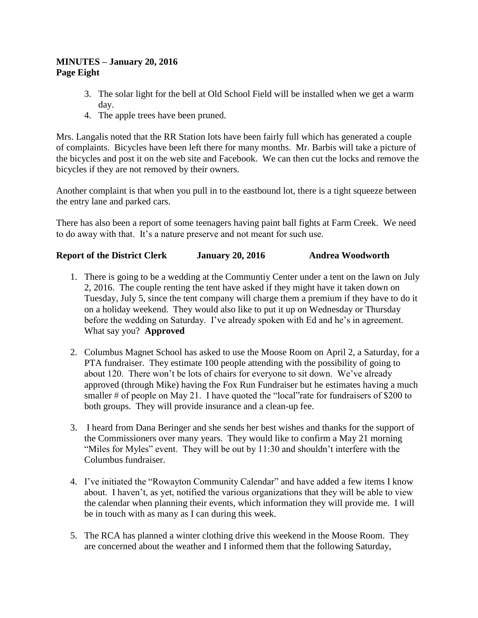#### **MINUTES – January 20, 2016 Page Eight**

- 3. The solar light for the bell at Old School Field will be installed when we get a warm day.
- 4. The apple trees have been pruned.

Mrs. Langalis noted that the RR Station lots have been fairly full which has generated a couple of complaints. Bicycles have been left there for many months. Mr. Barbis will take a picture of the bicycles and post it on the web site and Facebook. We can then cut the locks and remove the bicycles if they are not removed by their owners.

Another complaint is that when you pull in to the eastbound lot, there is a tight squeeze between the entry lane and parked cars.

There has also been a report of some teenagers having paint ball fights at Farm Creek. We need to do away with that. It's a nature preserve and not meant for such use.

# **Report of the District Clerk January 20, 2016 Andrea Woodworth**

- 1. There is going to be a wedding at the Communtiy Center under a tent on the lawn on July 2, 2016. The couple renting the tent have asked if they might have it taken down on Tuesday, July 5, since the tent company will charge them a premium if they have to do it on a holiday weekend. They would also like to put it up on Wednesday or Thursday before the wedding on Saturday. I've already spoken with Ed and he's in agreement. What say you? **Approved**
- 2. Columbus Magnet School has asked to use the Moose Room on April 2, a Saturday, for a PTA fundraiser. They estimate 100 people attending with the possibility of going to about 120. There won't be lots of chairs for everyone to sit down. We've already approved (through Mike) having the Fox Run Fundraiser but he estimates having a much smaller # of people on May 21. I have quoted the "local" rate for fundraisers of \$200 to both groups. They will provide insurance and a clean-up fee.
- 3. I heard from Dana Beringer and she sends her best wishes and thanks for the support of the Commissioners over many years. They would like to confirm a May 21 morning "Miles for Myles" event. They will be out by 11:30 and shouldn't interfere with the Columbus fundraiser.
- 4. I've initiated the "Rowayton Community Calendar" and have added a few items I know about. I haven't, as yet, notified the various organizations that they will be able to view the calendar when planning their events, which information they will provide me. I will be in touch with as many as I can during this week.
- 5. The RCA has planned a winter clothing drive this weekend in the Moose Room. They are concerned about the weather and I informed them that the following Saturday,